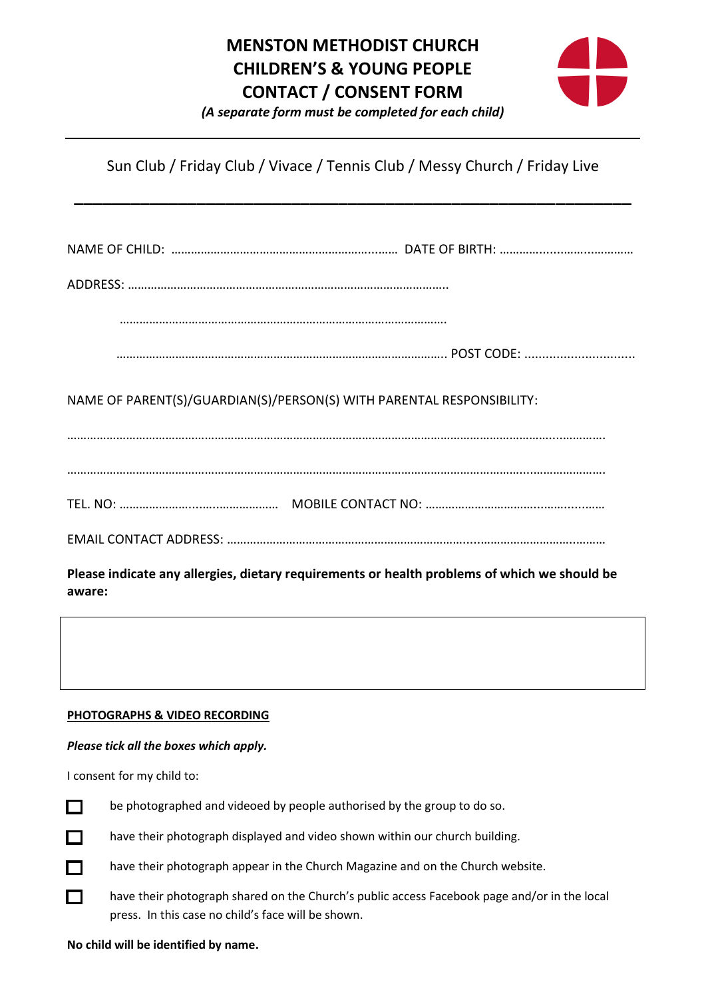# **MENSTON METHODIST CHURCH CHILDREN'S & YOUNG PEOPLE CONTACT / CONSENT FORM**



*(A separate form must be completed for each child)*

Sun Club / Friday Club / Vivace / Tennis Club / Messy Church / Friday Live

**\_\_\_\_\_\_\_\_\_\_\_\_\_\_\_\_\_\_\_\_\_\_\_\_\_\_\_\_\_\_\_\_\_\_\_\_\_\_\_\_\_\_\_\_\_\_\_\_\_\_\_\_\_\_\_\_\_\_\_**

NAME OF CHILD: ……………………………………………………...…… DATE OF BIRTH: ………….......……...…………

ADDRESS: ……………………………………………………………………………………..

……………………………………………………………………………………….

……………………………………………………………………………………….. POST CODE: ...............................

NAME OF PARENT(S)/GUARDIAN(S)/PERSON(S) WITH PARENTAL RESPONSIBILITY:

…………………………………………………………………………………………………………………………………....………….

…………………………………………………………………………………………………………………………....………………….

TEL. NO: …………………....…..……………… MOBILE CONTACT NO: ……………………………...……......……

EMAIL CONTACT ADDRESS: ……………………………………………………………….....………………………..………

**Please indicate any allergies, dietary requirements or health problems of which we should be aware:**

## **PHOTOGRAPHS & VIDEO RECORDING**

### *Please tick all the boxes which apply.*

I consent for my child to:



П

П

be photographed and videoed by people authorised by the group to do so.

have their photograph displayed and video shown within our church building.

have their photograph appear in the Church Magazine and on the Church website.

have their photograph shared on the Church's public access Facebook page and/or in the local press. In this case no child's face will be shown.

**No child will be identified by name.**